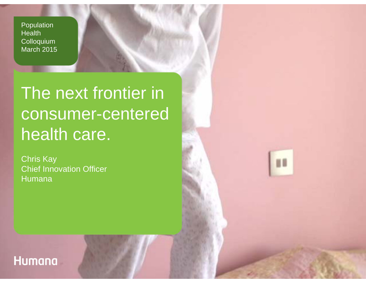Population Health **Colloquium** March 2015

# The next frontier in consumer-centered health care.

ii di

Chris Kay Chief Innovation Officer Humana

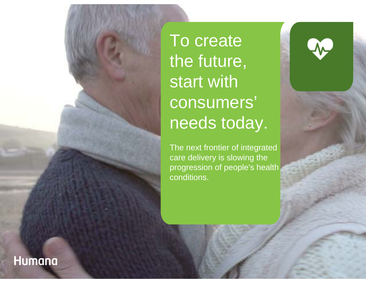To create the future, start with consumers' needs today.

The next frontier of integrated care delivery is slowing the progression of people's health conditions.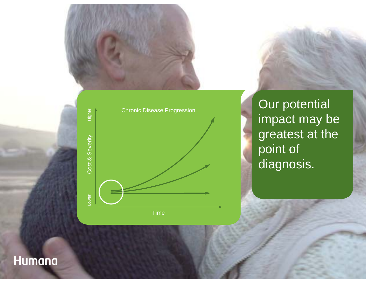



Our potential impact may be greatest at the point of diagnosis.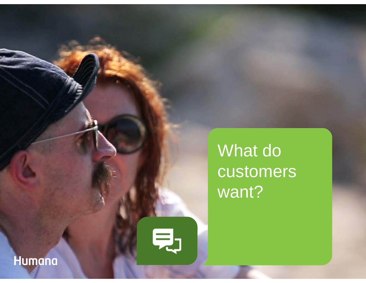What do customers want?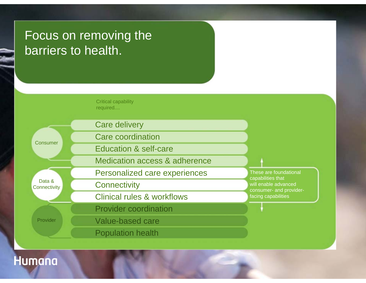## Focus on removing the barriers to health.

Critical capability required....

**Consumer** 

Data &**Connectivity** 

Provider

Care delivery Care coordinationEducation & self-careMedication access & adherencePersonalized care experiences **Connectivity** Clinical rules & workflowsProvider coordination Value-based care

Population health

These are foundational capabilities that will enable advanced consumer- and providerfacing capabilities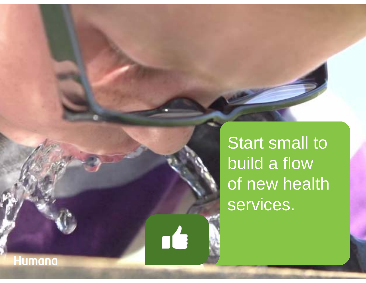Start small to build a flow of new health services.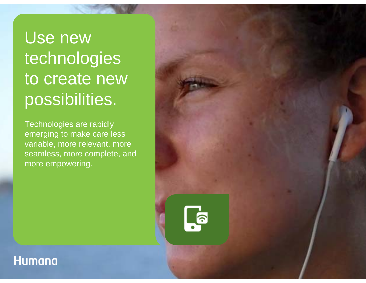Use new technologies to create new possibilities.

Technologies are rapidly emerging to make care less variable, more relevant, more seamless, more complete, and more empowering.

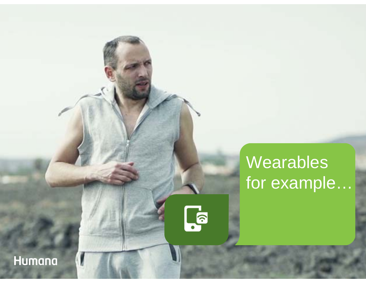# Wearables for example...

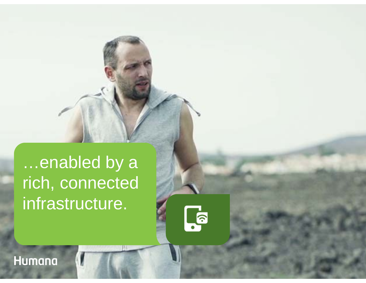…enabled by a rich, connected infrastructure.

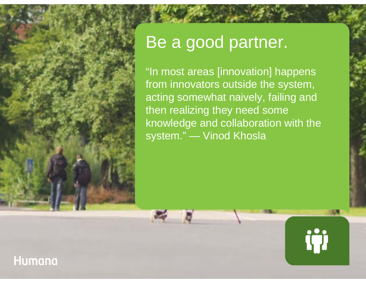## Be a good partner.

"In most areas [innovation] happens from innovators outside the system, acting somewhat naively, failing and then realizing they need some knowledge and collaboration with the system." — Vinod Khosla